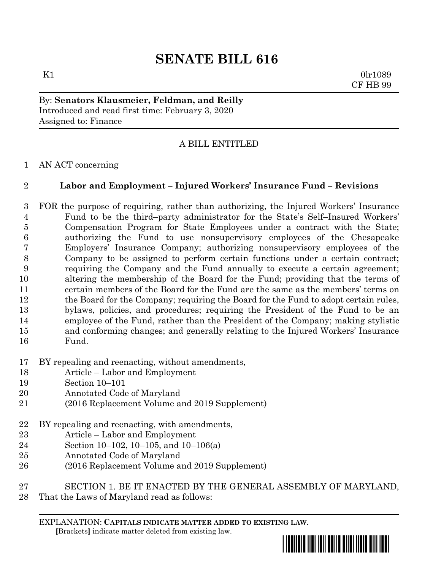# **SENATE BILL 616**

 $K1$  0lr1089 CF HB 99

By: **Senators Klausmeier, Feldman, and Reilly** Introduced and read first time: February 3, 2020 Assigned to: Finance

## A BILL ENTITLED

### AN ACT concerning

### **Labor and Employment – Injured Workers' Insurance Fund – Revisions**

 FOR the purpose of requiring, rather than authorizing, the Injured Workers' Insurance Fund to be the third–party administrator for the State's Self–Insured Workers' Compensation Program for State Employees under a contract with the State; authorizing the Fund to use nonsupervisory employees of the Chesapeake Employers' Insurance Company; authorizing nonsupervisory employees of the Company to be assigned to perform certain functions under a certain contract; requiring the Company and the Fund annually to execute a certain agreement; altering the membership of the Board for the Fund; providing that the terms of certain members of the Board for the Fund are the same as the members' terms on 12 the Board for the Company; requiring the Board for the Fund to adopt certain rules, bylaws, policies, and procedures; requiring the President of the Fund to be an employee of the Fund, rather than the President of the Company; making stylistic and conforming changes; and generally relating to the Injured Workers' Insurance Fund.

- BY repealing and reenacting, without amendments,
- Article Labor and Employment
- Section 10–101
- Annotated Code of Maryland
- (2016 Replacement Volume and 2019 Supplement)
- BY repealing and reenacting, with amendments,
- Article Labor and Employment
- Section 10–102, 10–105, and 10–106(a)
- Annotated Code of Maryland
- (2016 Replacement Volume and 2019 Supplement)
- SECTION 1. BE IT ENACTED BY THE GENERAL ASSEMBLY OF MARYLAND,
- That the Laws of Maryland read as follows:

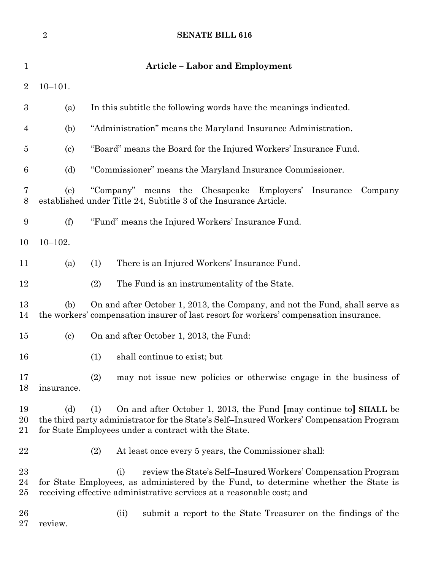|                         | $\overline{2}$             | <b>SENATE BILL 616</b>                                                                                                                                                                                                               |  |  |  |
|-------------------------|----------------------------|--------------------------------------------------------------------------------------------------------------------------------------------------------------------------------------------------------------------------------------|--|--|--|
| $\mathbf{1}$            |                            | <b>Article – Labor and Employment</b>                                                                                                                                                                                                |  |  |  |
| $\overline{2}$          | $10 - 101.$                |                                                                                                                                                                                                                                      |  |  |  |
| $\boldsymbol{3}$        | (a)                        | In this subtitle the following words have the meanings indicated.                                                                                                                                                                    |  |  |  |
| $\overline{4}$          | (b)                        | "Administration" means the Maryland Insurance Administration.                                                                                                                                                                        |  |  |  |
| $\overline{5}$          | $\left( \mathrm{c}\right)$ | "Board" means the Board for the Injured Workers' Insurance Fund.                                                                                                                                                                     |  |  |  |
| 6                       | (d)                        | "Commissioner" means the Maryland Insurance Commissioner.                                                                                                                                                                            |  |  |  |
| 7<br>8                  | (e)                        | "Company" means the Chesapeake Employers' Insurance<br>Company<br>established under Title 24, Subtitle 3 of the Insurance Article.                                                                                                   |  |  |  |
| 9                       | (f)                        | "Fund" means the Injured Workers' Insurance Fund.                                                                                                                                                                                    |  |  |  |
| 10                      | $10 - 102.$                |                                                                                                                                                                                                                                      |  |  |  |
| 11                      | (a)                        | There is an Injured Workers' Insurance Fund.<br>(1)                                                                                                                                                                                  |  |  |  |
| 12                      |                            | (2)<br>The Fund is an instrumentality of the State.                                                                                                                                                                                  |  |  |  |
| 13<br>14                | (b)                        | On and after October 1, 2013, the Company, and not the Fund, shall serve as<br>the workers' compensation insurer of last resort for workers' compensation insurance.                                                                 |  |  |  |
| 15                      | $\left( \mathrm{c}\right)$ | On and after October 1, 2013, the Fund:                                                                                                                                                                                              |  |  |  |
| 16                      |                            | shall continue to exist; but<br>(1)                                                                                                                                                                                                  |  |  |  |
| 17<br>18                | insurance.                 | (2)<br>may not issue new policies or otherwise engage in the business of                                                                                                                                                             |  |  |  |
| 19<br>20<br>21          | (d)                        | On and after October 1, 2013, the Fund [may continue to] SHALL be<br>(1)<br>the third party administrator for the State's Self-Insured Workers' Compensation Program<br>for State Employees under a contract with the State.         |  |  |  |
| $22\,$                  |                            | (2)<br>At least once every 5 years, the Commissioner shall:                                                                                                                                                                          |  |  |  |
| $^{23}$<br>24<br>$25\,$ |                            | review the State's Self-Insured Workers' Compensation Program<br>(i)<br>for State Employees, as administered by the Fund, to determine whether the State is<br>receiving effective administrative services at a reasonable cost; and |  |  |  |
| 26<br>$27\,$            | review.                    | (ii)<br>submit a report to the State Treasurer on the findings of the                                                                                                                                                                |  |  |  |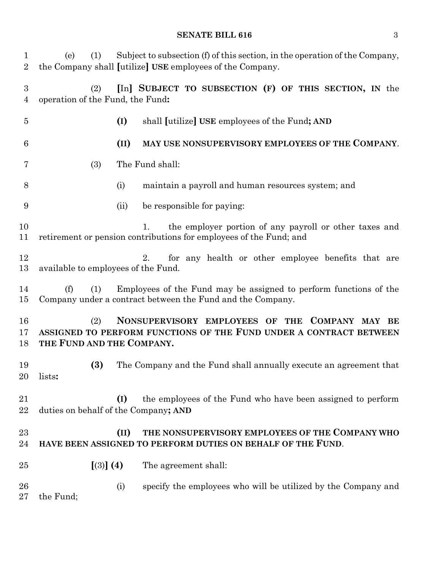### **SENATE BILL 616** 3

| $\mathbf 1$<br>$\overline{2}$ | (1)<br>(e)                                                                                                                                               |      | Subject to subsection (f) of this section, in the operation of the Company,<br>the Company shall [utilize] USE employees of the Company. |  |  |
|-------------------------------|----------------------------------------------------------------------------------------------------------------------------------------------------------|------|------------------------------------------------------------------------------------------------------------------------------------------|--|--|
| $\boldsymbol{3}$<br>4         | (2)<br>operation of the Fund, the Fund:                                                                                                                  |      | [In] SUBJECT TO SUBSECTION (F) OF THIS SECTION, IN the                                                                                   |  |  |
| $\overline{5}$                |                                                                                                                                                          | (I)  | shall <i>[utilize]</i> USE employees of the Fund; AND                                                                                    |  |  |
| 6                             |                                                                                                                                                          | (II) | MAY USE NONSUPERVISORY EMPLOYEES OF THE COMPANY.                                                                                         |  |  |
| 7                             | (3)                                                                                                                                                      |      | The Fund shall:                                                                                                                          |  |  |
| 8                             |                                                                                                                                                          | (i)  | maintain a payroll and human resources system; and                                                                                       |  |  |
| 9                             |                                                                                                                                                          | (ii) | be responsible for paying:                                                                                                               |  |  |
| 10<br>11                      |                                                                                                                                                          |      | the employer portion of any payroll or other taxes and<br>1.<br>retirement or pension contributions for employees of the Fund; and       |  |  |
| 12<br>13                      | available to employees of the Fund.                                                                                                                      |      | for any health or other employee benefits that are<br>2.                                                                                 |  |  |
| 14<br>15                      | (f)<br>(1)                                                                                                                                               |      | Employees of the Fund may be assigned to perform functions of the<br>Company under a contract between the Fund and the Company.          |  |  |
| 16<br>17<br>18                | NONSUPERVISORY EMPLOYEES OF THE COMPANY MAY BE<br>(2)<br>ASSIGNED TO PERFORM FUNCTIONS OF THE FUND UNDER A CONTRACT BETWEEN<br>THE FUND AND THE COMPANY. |      |                                                                                                                                          |  |  |
| 19<br>20                      | (3)<br>lists:                                                                                                                                            |      | The Company and the Fund shall annually execute an agreement that                                                                        |  |  |
| 21<br>22                      | duties on behalf of the Company; AND                                                                                                                     | (I)  | the employees of the Fund who have been assigned to perform                                                                              |  |  |
| 23<br>24                      |                                                                                                                                                          | (II) | THE NONSUPERVISORY EMPLOYEES OF THE COMPANY WHO<br>HAVE BEEN ASSIGNED TO PERFORM DUTIES ON BEHALF OF THE FUND.                           |  |  |
| 25                            | [(3)] (4)                                                                                                                                                |      | The agreement shall:                                                                                                                     |  |  |
| 26<br>$\rm 27$                | the Fund;                                                                                                                                                | (i)  | specify the employees who will be utilized by the Company and                                                                            |  |  |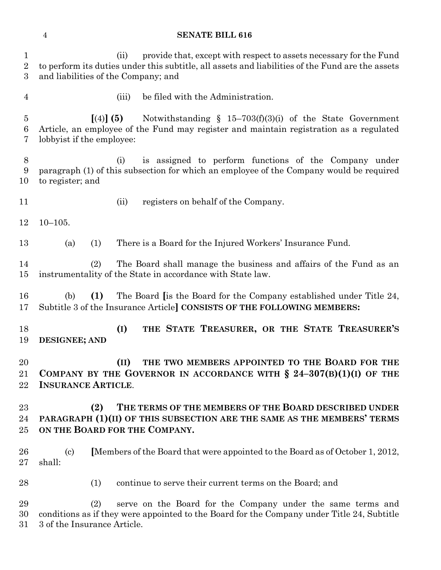#### **SENATE BILL 616**

 (ii) provide that, except with respect to assets necessary for the Fund to perform its duties under this subtitle, all assets and liabilities of the Fund are the assets and liabilities of the Company; and

(iii) be filed with the Administration.

 **[**(4)**] (5)** Notwithstanding § 15–703(f)(3)(i) of the State Government Article, an employee of the Fund may register and maintain registration as a regulated lobbyist if the employee:

 (i) is assigned to perform functions of the Company under paragraph (1) of this subsection for which an employee of the Company would be required to register; and

- 
- (ii) registers on behalf of the Company.

10–105.

(a) (1) There is a Board for the Injured Workers' Insurance Fund.

 (2) The Board shall manage the business and affairs of the Fund as an instrumentality of the State in accordance with State law.

 (b) **(1)** The Board **[**is the Board for the Company established under Title 24, Subtitle 3 of the Insurance Article**] CONSISTS OF THE FOLLOWING MEMBERS:**

 **(I) THE STATE TREASURER, OR THE STATE TREASURER'S DESIGNEE; AND**

 **(II) THE TWO MEMBERS APPOINTED TO THE BOARD FOR THE COMPANY BY THE GOVERNOR IN ACCORDANCE WITH § 24–307(B)(1)(I) OF THE INSURANCE ARTICLE**.

 **(2) THE TERMS OF THE MEMBERS OF THE BOARD DESCRIBED UNDER PARAGRAPH (1)(II) OF THIS SUBSECTION ARE THE SAME AS THE MEMBERS' TERMS ON THE BOARD FOR THE COMPANY.**

 (c) **[**Members of the Board that were appointed to the Board as of October 1, 2012, shall:

28 (1) continue to serve their current terms on the Board; and

 (2) serve on the Board for the Company under the same terms and conditions as if they were appointed to the Board for the Company under Title 24, Subtitle 3 of the Insurance Article.